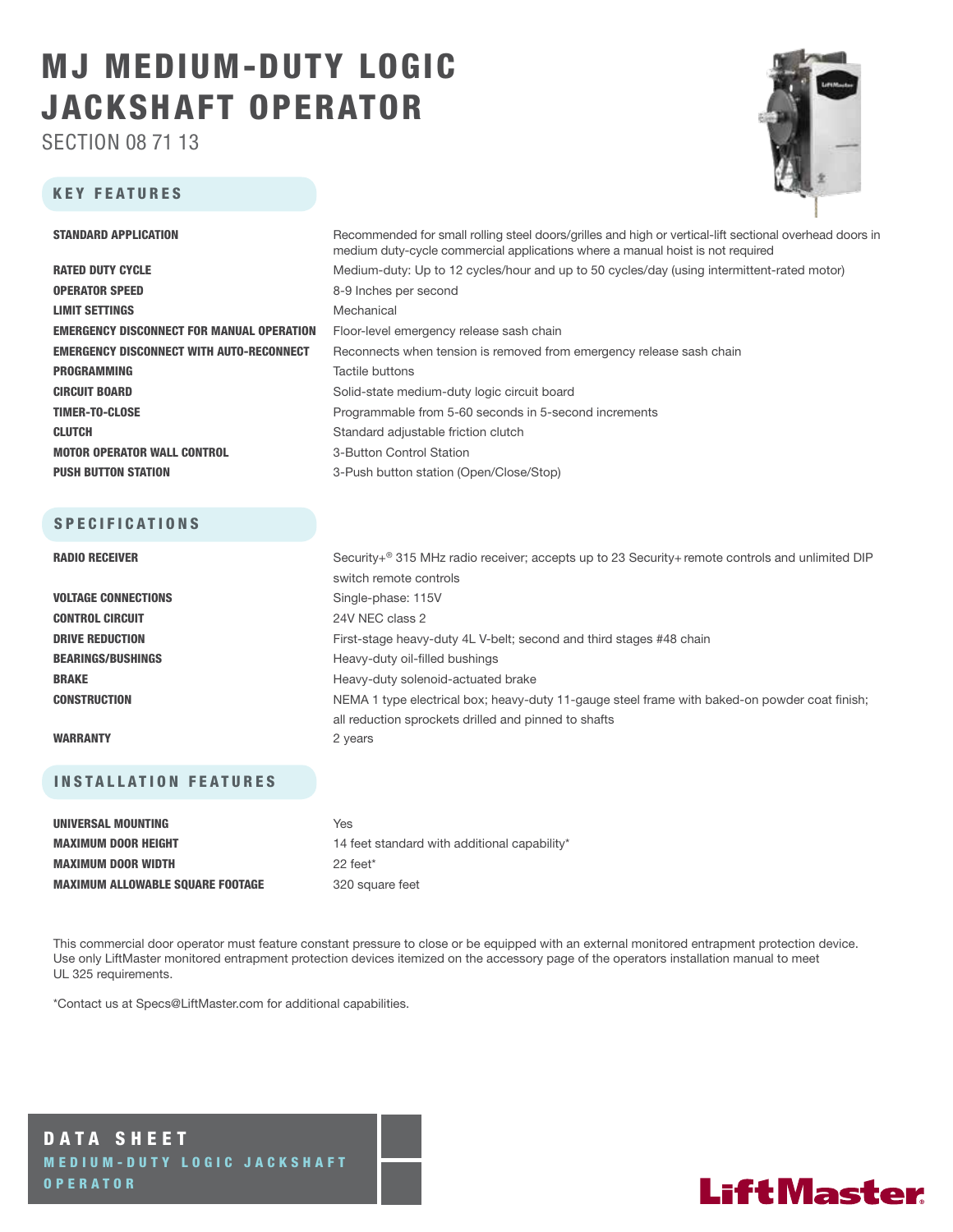# MJ MEDIUM-DUTY LOGIC JACKSHAFT OPERATOR

SECTION 08 71 13

### KEY FEATURES



| <b>STANDARD APPLICATION</b>                      | Recommended for small rolling steel doors/grilles and high or vertical-lift sectional overhead doors in<br>medium duty-cycle commercial applications where a manual hoist is not required |  |  |  |  |
|--------------------------------------------------|-------------------------------------------------------------------------------------------------------------------------------------------------------------------------------------------|--|--|--|--|
| <b>RATED DUTY CYCLE</b>                          | Medium-duty: Up to 12 cycles/hour and up to 50 cycles/day (using intermittent-rated motor)                                                                                                |  |  |  |  |
| <b>OPERATOR SPEED</b>                            | 8-9 Inches per second                                                                                                                                                                     |  |  |  |  |
| <b>LIMIT SETTINGS</b>                            | Mechanical                                                                                                                                                                                |  |  |  |  |
| <b>EMERGENCY DISCONNECT FOR MANUAL OPERATION</b> | Floor-level emergency release sash chain                                                                                                                                                  |  |  |  |  |
| <b>EMERGENCY DISCONNECT WITH AUTO-RECONNECT</b>  | Reconnects when tension is removed from emergency release sash chain                                                                                                                      |  |  |  |  |
| <b>PROGRAMMING</b>                               | Tactile buttons                                                                                                                                                                           |  |  |  |  |
| <b>CIRCUIT BOARD</b>                             | Solid-state medium-duty logic circuit board                                                                                                                                               |  |  |  |  |
| <b>TIMER-TO-CLOSE</b>                            | Programmable from 5-60 seconds in 5-second increments                                                                                                                                     |  |  |  |  |
| <b>CLUTCH</b>                                    | Standard adjustable friction clutch                                                                                                                                                       |  |  |  |  |
| <b>MOTOR OPERATOR WALL CONTROL</b>               | 3-Button Control Station                                                                                                                                                                  |  |  |  |  |
| <b>PUSH BUTTON STATION</b>                       | 3-Push button station (Open/Close/Stop)                                                                                                                                                   |  |  |  |  |
|                                                  |                                                                                                                                                                                           |  |  |  |  |
| <b>SPECIFICATIONS</b>                            |                                                                                                                                                                                           |  |  |  |  |
| <b>RADIO RECEIVER</b>                            | Security+ <sup>®</sup> 315 MHz radio receiver; accepts up to 23 Security+ remote controls and unlimited DIP                                                                               |  |  |  |  |
|                                                  | switch remote controls                                                                                                                                                                    |  |  |  |  |
| <b>VOLTAGE CONNECTIONS</b>                       | Single-phase: 115V                                                                                                                                                                        |  |  |  |  |
| <b>CONTROL CIRCUIT</b>                           | 24V NEC class 2                                                                                                                                                                           |  |  |  |  |
| <b>DRIVE REDUCTION</b>                           | First-stage heavy-duty 4L V-belt; second and third stages #48 chain                                                                                                                       |  |  |  |  |

BEARINGS/BUSHINGS **Heavy-duty oil-filled bushings** BRAKE **BRAKE** Heavy-duty solenoid-actuated brake **CONSTRUCTION** NEMA 1 type electrical box; heavy-duty 11-gauge steel frame with baked-on powder coat finish;

#### WARRANTY 2 years

### INSTALLATION FEATURES

| UNIVERSAL MOUNTING                      | Yes                                          |
|-----------------------------------------|----------------------------------------------|
| <b>MAXIMUM DOOR HEIGHT</b>              | 14 feet standard with additional capability* |
| <b>MAXIMUM DOOR WIDTH</b>               | $22$ feet <sup>*</sup>                       |
| <b>MAXIMUM ALLOWABLE SQUARE FOOTAGE</b> | 320 square feet                              |

This commercial door operator must feature constant pressure to close or be equipped with an external monitored entrapment protection device. Use only LiftMaster monitored entrapment protection devices itemized on the accessory page of the operators installation manual to meet UL 325 requirements.

all reduction sprockets drilled and pinned to shafts

\*Contact us at Specs@LiftMaster.com for additional capabilities.

DATA SHEET MEDIUM-DUTY LOGIC JACKSHAFT OPERATOR

## **LiftMaster**